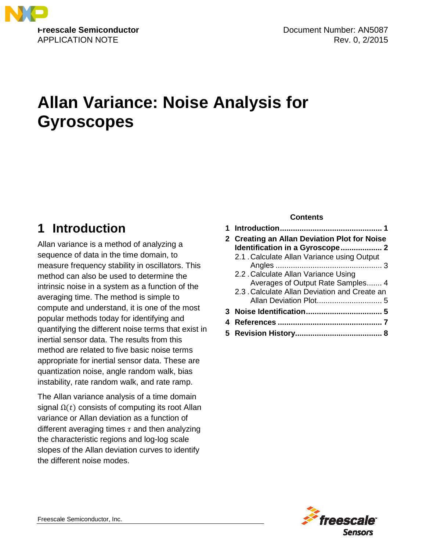

# **Allan Variance: Noise Analysis for Gyroscopes**

## <span id="page-0-0"></span>**1 Introduction**

Allan variance is a method of analyzing a sequence of data in the time domain, to measure frequency stability in oscillators. This method can also be used to determine the intrinsic noise in a system as a function of the averaging time. The method is simple to compute and understand, it is one of the most popular methods today for identifying and quantifying the different noise terms that exist in inertial sensor data. The results from this method are related to five basic noise terms appropriate for inertial sensor data. These are quantization noise, angle random walk, bias instability, rate random walk, and rate ramp.

The Allan variance analysis of a time domain signal  $\Omega(t)$  consists of computing its root Allan variance or Allan deviation as a function of different averaging times  $\tau$  and then analyzing the characteristic regions and log-log scale slopes of the Allan deviation curves to identify the different noise modes.

#### **Contents**

| 2 Creating an Allan Deviation Plot for Noise  |  |  |
|-----------------------------------------------|--|--|
| Identification in a Gyroscope 2               |  |  |
| 2.1 . Calculate Allan Variance using Output   |  |  |
|                                               |  |  |
| 2.2 . Calculate Allan Variance Using          |  |  |
| Averages of Output Rate Samples 4             |  |  |
| 2.3 . Calculate Allan Deviation and Create an |  |  |
|                                               |  |  |
|                                               |  |  |
|                                               |  |  |
|                                               |  |  |

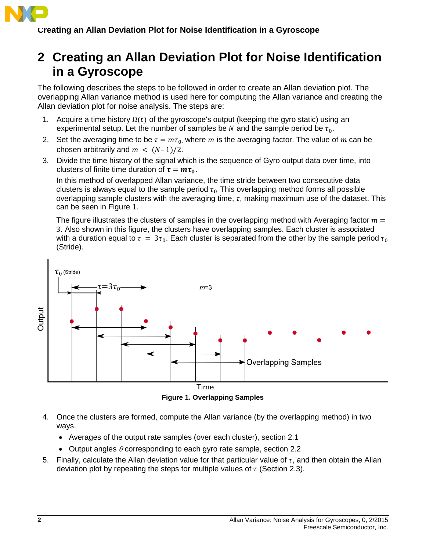

### <span id="page-1-0"></span>**2 Creating an Allan Deviation Plot for Noise Identification in a Gyroscope**

The following describes the steps to be followed in order to create an Allan deviation plot. The overlapping Allan variance method is used here for computing the Allan variance and creating the Allan deviation plot for noise analysis. The steps are:

- <span id="page-1-3"></span>1. Acquire a time history  $\Omega(t)$  of the gyroscope's output (keeping the gyro static) using an experimental setup. Let the number of samples be N and the sample period be  $\tau_0$ .
- <span id="page-1-4"></span>2. Set the averaging time to be  $\tau = m\tau_0$ , where m is the averaging factor. The value of m can be chosen arbitrarily and  $m < (N-1)/2$ .
- 3. Divide the time history of the signal which is the sequence of Gyro output data over time, into clusters of finite time duration of  $\tau = m\tau_0$ .

In this method of overlapped Allan variance, the time stride between two consecutive data clusters is always equal to the sample period  $\tau_0$ . This overlapping method forms all possible overlapping sample clusters with the averaging time,  $\tau$ , making maximum use of the dataset. This can be seen in [Figure 1.](#page-1-1)

The figure illustrates the clusters of samples in the overlapping method with Averaging factor  $m =$ 3. Also shown in this figure, the clusters have overlapping samples. Each cluster is associated with a duration equal to  $\tau = 3\tau_0$ . Each cluster is separated from the other by the sample period  $\tau_0$ (Stride).



**Figure 1. Overlapping Samples**

- <span id="page-1-1"></span>4. Once the clusters are formed, compute the Allan variance (by the overlapping method) in two ways.
	- Averages of the output rate samples (over each cluster), section [2.1](#page-2-0)
	- Output angles  $\theta$  corresponding to each gyro rate sample, section [2.2](#page-3-0)
- <span id="page-1-2"></span>5. Finally, calculate the Allan deviation value for that particular value of  $\tau$ , and then obtain the Allan deviation plot by repeating the steps for multiple values of  $\tau$  (Section [2.3\)](#page-4-0).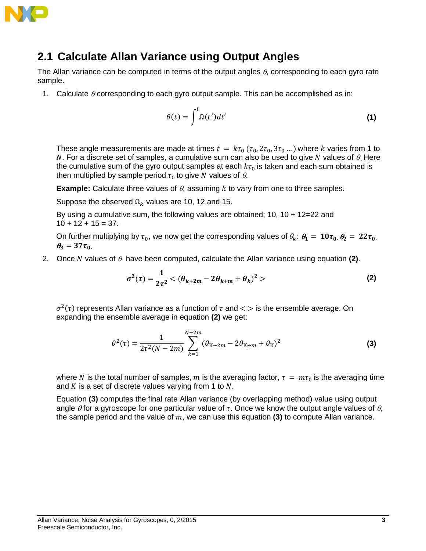

### <span id="page-2-0"></span>**2.1 Calculate Allan Variance using Output Angles**

The Allan variance can be computed in terms of the output angles  $\theta$ , corresponding to each gyro rate sample.

1. Calculate  $\theta$  corresponding to each gyro output sample. This can be accomplished as in:

<span id="page-2-3"></span>
$$
\theta(t) = \int^{t} \Omega(t')dt'
$$
 (1)

These angle measurements are made at times  $t = k\tau_0$  ( $\tau_0$ ,  $2\tau_0$ ,  $3\tau_0$  ...) where k varies from 1 to N. For a discrete set of samples, a cumulative sum can also be used to give N values of  $\theta$ . Here the cumulative sum of the gyro output samples at each  $k\tau_0$  is taken and each sum obtained is then multiplied by sample period  $\tau_0$  to give N values of  $\theta$ .

**Example:** Calculate three values of  $\theta$ , assuming  $k$  to vary from one to three samples.

Suppose the observed  $\Omega_k$  values are 10, 12 and 15.

By using a cumulative sum, the following values are obtained; 10, 10 + 12=22 and  $10 + 12 + 15 = 37$ .

On further multiplying by  $\tau_0$ , we now get the corresponding values of  $\theta_k$ :  $\theta_1 = 10\tau_0$ ,  $\theta_2 = 22\tau_0$ ,  $\theta_3 = 37\tau_{0}$ 

<span id="page-2-4"></span>2. Once N values of  $\theta$  have been computed, calculate the Allan variance using equation [\(2\)](#page-2-1).

<span id="page-2-2"></span><span id="page-2-1"></span>
$$
\sigma^{2}(\tau) = \frac{1}{2\tau^{2}} < (\theta_{k+2m} - 2\theta_{k+m} + \theta_{k})^{2} >
$$
 (2)

 $\sigma^2(\tau)$  represents Allan variance as a function of  $\tau$  and  $\lt$  is the ensemble average. On expanding the ensemble average in equation **[\(2\)](#page-2-1)** we get:

$$
\theta^{2}(\tau) = \frac{1}{2\tau^{2}(N-2m)} \sum_{k=1}^{N-2m} (\theta_{K+2m} - 2\theta_{K+m} + \theta_{K})^{2}
$$
 (3)

where N is the total number of samples, m is the averaging factor,  $\tau = m\tau_0$  is the averaging time and  $K$  is a set of discrete values varying from 1 to  $N$ .

Equation **[\(3\)](#page-2-2)** computes the final rate Allan variance (by overlapping method) value using output angle  $\theta$  for a gyroscope for one particular value of  $\tau$ . Once we know the output angle values of  $\theta$ , the sample period and the value of  $m$ , we can use this equation [\(3\)](#page-2-2) to compute Allan variance.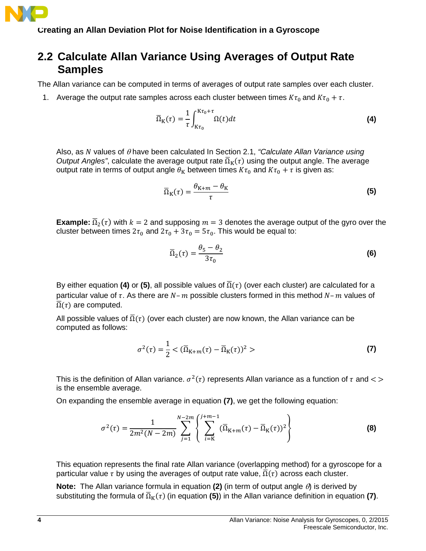

#### <span id="page-3-0"></span>**2.2 Calculate Allan Variance Using Averages of Output Rate Samples**

The Allan variance can be computed in terms of averages of output rate samples over each cluster.

1. Average the output rate samples across each cluster between times  $K\tau_0$  and  $K\tau_0 + \tau$ .

<span id="page-3-1"></span>
$$
\overline{\Omega}_{K}(\tau) = \frac{1}{\tau} \int_{K\tau_{0}}^{K\tau_{0} + \tau} \Omega(t) dt
$$
 (4)

Also, as values of <sup>θ</sup> have been calculated In Section [2.1,](#page-1-2) *["Calculate Allan Variance using](#page-1-2)  [Output Angles"](#page-1-2)*, calculate the average output rate  $\overline{\Omega}_K(\tau)$  using the output angle. The average output rate in terms of output angle  $\theta_K$  between times  $K\tau_0$  and  $K\tau_0 + \tau$  is given as:

<span id="page-3-2"></span>
$$
\overline{\Omega}_{K}(\tau) = \frac{\theta_{K+m} - \theta_{K}}{\tau}
$$
\n(5)

**Example:**  $\overline{\Omega}_2(\tau)$  with  $k = 2$  and supposing  $m = 3$  denotes the average output of the gyro over the cluster between times  $2\tau_0$  and  $2\tau_0 + 3\tau_0 = 5\tau_0$ . This would be equal to:

<span id="page-3-3"></span>
$$
\overline{\Omega}_2(\tau) = \frac{\theta_5 - \theta_2}{3\tau_0} \tag{6}
$$

By either equation **[\(4\)](#page-3-1)** or **[\(5\)](#page-3-2)**, all possible values of  $\overline{\Omega}(\tau)$  (over each cluster) are calculated for a particular value of  $\tau$ . As there are  $N-m$  possible clusters formed in this method  $N-m$  values of  $\overline{\Omega}(\tau)$  are computed.

All possible values of  $\overline{\Omega}(\tau)$  (over each cluster) are now known, the Allan variance can be computed as follows:

<span id="page-3-4"></span>
$$
\sigma^{2}(\tau) = \frac{1}{2} < (\overline{\Omega}_{K+m}(\tau) - \overline{\Omega}_{K}(\tau))^{2} > \tag{7}
$$

This is the definition of Allan variance.  $\sigma^2(\tau)$  represents Allan variance as a function of  $\tau$  and  $\langle \rangle$ is the ensemble average.

On expanding the ensemble average in equation **[\(7\)](#page-3-3)**, we get the following equation:

$$
\sigma^{2}(\tau) = \frac{1}{2m^{2}(N-2m)} \sum_{j=1}^{N-2m} \left\{ \sum_{i=K}^{j+m-1} (\overline{\Omega}_{K+m}(\tau) - \overline{\Omega}_{K}(\tau))^{2} \right\}
$$
(8)

This equation represents the final rate Allan variance (overlapping method) for a gyroscope for a particular value  $\tau$  by using the averages of output rate value,  $\overline{\Omega}(\tau)$  across each cluster.

**Note:** The Allan variance formula in equation **[\(2\)](#page-2-1)** (in term of output angle θ) is derived by substituting the formula of  $\overline{\Omega}_K(\tau)$  (in equation [\(5\)](#page-3-2)) in the Allan variance definition in equation [\(7\)](#page-3-3).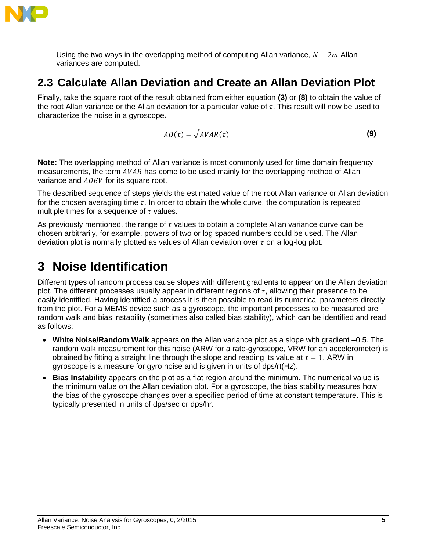

Using the two ways in the overlapping method of computing Allan variance,  $N-2m$  Allan variances are computed.

### <span id="page-4-0"></span>**2.3 Calculate Allan Deviation and Create an Allan Deviation Plot**

Finally, take the square root of the result obtained from either equation **[\(3\)](#page-2-2)** or **[\(8\)](#page-3-4)** to obtain the value of the root Allan variance or the Allan deviation for a particular value of  $\tau$ . This result will now be used to characterize the noise in a gyroscope*.*

<span id="page-4-2"></span>
$$
AD(\tau) = \sqrt{AVAR(\tau)}\tag{9}
$$

**Note:** The overlapping method of Allan variance is most commonly used for time domain frequency measurements, the term  $AVAR$  has come to be used mainly for the overlapping method of Allan variance and ADEV for its square root.

The described sequence of steps yields the estimated value of the root Allan variance or Allan deviation for the chosen averaging time  $\tau$ . In order to obtain the whole curve, the computation is repeated multiple times for a sequence of  $\tau$  values.

As previously mentioned, the range of  $\tau$  values to obtain a complete Allan variance curve can be chosen arbitrarily, for example, powers of two or log spaced numbers could be used. The Allan deviation plot is normally plotted as values of Allan deviation over  $\tau$  on a log-log plot.

### <span id="page-4-1"></span>**3 Noise Identification**

Different types of random process cause slopes with different gradients to appear on the Allan deviation plot. The different processes usually appear in different regions of  $\tau$ , allowing their presence to be easily identified. Having identified a process it is then possible to read its numerical parameters directly from the plot. For a MEMS device such as a gyroscope, the important processes to be measured are random walk and bias instability (sometimes also called bias stability), which can be identified and read as follows:

- **White Noise/Random Walk** appears on the Allan variance plot as a slope with gradient –0.5. The random walk measurement for this noise (ARW for a rate-gyroscope, VRW for an accelerometer) is obtained by fitting a straight line through the slope and reading its value at  $\tau = 1$ . ARW in gyroscope is a measure for gyro noise and is given in units of dps/rt(Hz).
- **Bias Instability** appears on the plot as a flat region around the minimum. The numerical value is the minimum value on the Allan deviation plot. For a gyroscope, the bias stability measures how the bias of the gyroscope changes over a specified period of time at constant temperature. This is typically presented in units of dps/sec or dps/hr.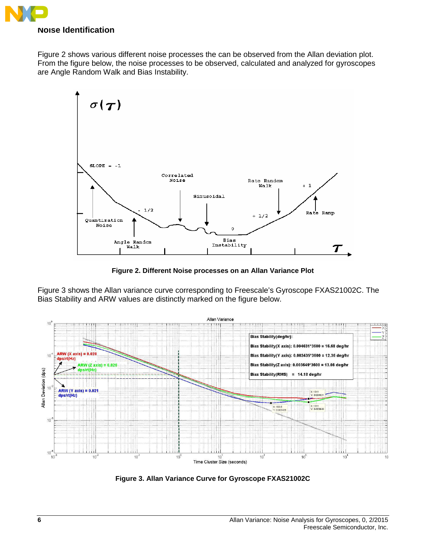

[Figure 2](#page-5-0) shows various different noise processes the can be observed from the Allan deviation plot. From the figure below, the noise processes to be observed, calculated and analyzed for gyroscopes are Angle Random Walk and Bias Instability.



**Figure 2. Different Noise processes on an Allan Variance Plot**

<span id="page-5-0"></span>[Figure 3](#page-5-1) shows the Allan variance curve corresponding to Freescale's Gyroscope FXAS21002C. The Bias Stability and ARW values are distinctly marked on the figure below.



<span id="page-5-1"></span>**Figure 3. Allan Variance Curve for Gyroscope FXAS21002C**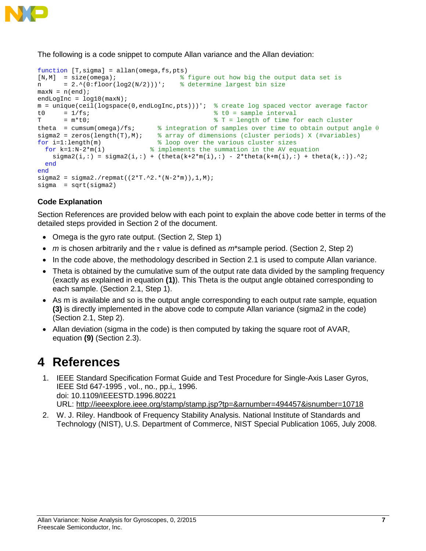

The following is a code snippet to compute Allan variance and the Allan deviation:

```
function [T, sigma] = allan(omega, fs, pts)<br>[N, M] = size(omega);[N,M] = size(omega); \frac{1}{8} figure out how big the output data set is = 2.^(0:100)(100)(100)(100); \frac{1}{8} determine largest bin size
                                                        % determine largest bin size
maxN = n(end);
endLogInc = log10(maxN);m = unique(ceil(logspace(0,endLogInc,pts)))'; % create log spaced vector average factor<br>t0 = 1/fsi<br>\frac{1}{5} = \frac{1}{5}t0 = 1/fs;<br>
T = m*t0;<br>
T = 1 = m*t0;<br>
T = lenV = m*t0;
                                                                      T = length of time for each clustertheta = cumsum(omega)/fs; \frac{1}{2} \frac{1}{2} integration of samples over time to obtain output angle \theta sigma2 = zeros(length(T),M); \frac{2}{3} array of dimensions (cluster periods) X (#variables)
sigma2 = zeros(length(T),M); \frac{1}{8} array of dimensions (cluster periods) X (#variables)<br>for i=1:length(m) \frac{1}{8} loop over the various cluster sizes
   r i=1:length(m) \text{for } k=1:N-2*\mathfrak{m}(i) % loop over the various cluster sizes<br>for k=1:N-2*\mathfrak{m}(i) % implements the summation in the AV eq
                                            % implements the summation in the AV equation
      sigma(1,:) = sigma(1,:) + (theta(k+2*m(i),:) - 2*ttheta(k+m(i),:) + theta(k,:)). end
end
signa2 = signa2./repmat((2*r.^2.*(N-2*m)),1,M);sigma = sqrt(sigma2)
```
#### **Code Explanation**

Section References are provided below with each point to explain the above code better in terms of the detailed steps provided in Section [2](#page-1-0) of the document.

- Omega is the gyro rate output. (Section [2,](#page-1-0) Step [1\)](#page-1-3)
- *m* is chosen arbitrarily and the  $\tau$  value is defined as  $m^*$ sample period. (Section [2,](#page-1-0) Step [2\)](#page-1-4)
- In the code above, the methodology described in Section [2.1](#page-1-2) is used to compute Allan variance.
- Theta is obtained by the cumulative sum of the output rate data divided by the sampling frequency (exactly as explained in equation **[\(1\)](#page-2-3)**). This Theta is the output angle obtained corresponding to each sample. (Section [2.1,](#page-1-2) Step 1).
- As m is available and so is the output angle corresponding to each output rate sample, equation **[\(3\)](#page-2-2)** is directly implemented in the above code to compute Allan variance (sigma2 in the code) (Section [2.1,](#page-1-2) Step [2\)](#page-2-4).
- Allan deviation (sigma in the code) is then computed by taking the square root of AVAR, equation **[\(9\)](#page-4-2)** (Section [2.3\)](#page-4-0).

### <span id="page-6-0"></span>**4 References**

- 1. IEEE Standard Specification Format Guide and Test Procedure for Single-Axis Laser Gyros, IEEE Std 647-1995 , vol., no., pp.i,, 1996. doi: 10.1109/IEEESTD.1996.80221 URL: <http://ieeexplore.ieee.org/stamp/stamp.jsp?tp=&arnumber=494457&isnumber=10718>
- 2. W. J. Riley. Handbook of Frequency Stability Analysis. National Institute of Standards and Technology (NIST), U.S. Department of Commerce, NIST Special Publication 1065, July 2008.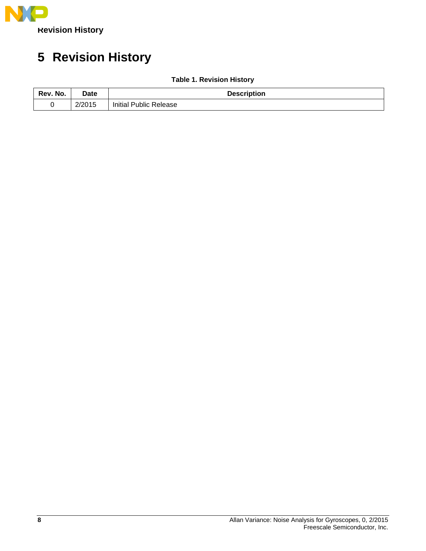

## <span id="page-7-0"></span>**5 Revision History**

| Rev. No. | Date   | <b>Description</b>     |
|----------|--------|------------------------|
|          | 2/2015 | Initial Public Release |